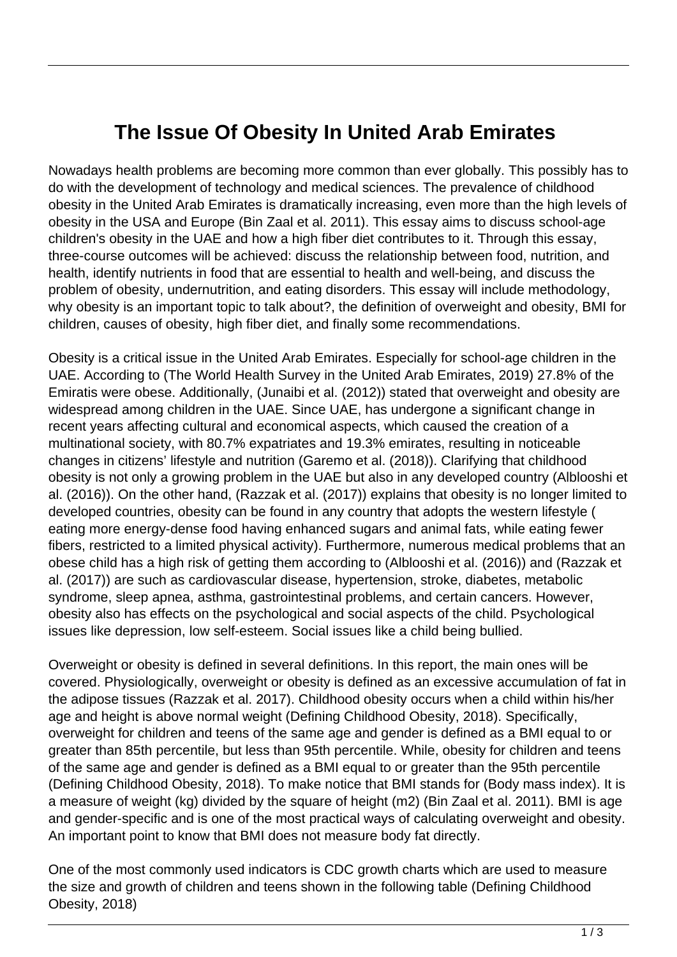## **The Issue Of Obesity In United Arab Emirates**

Nowadays health problems are becoming more common than ever globally. This possibly has to do with the development of technology and medical sciences. The prevalence of childhood obesity in the United Arab Emirates is dramatically increasing, even more than the high levels of obesity in the USA and Europe (Bin Zaal et al. 2011). This essay aims to discuss school-age children's obesity in the UAE and how a high fiber diet contributes to it. Through this essay, three-course outcomes will be achieved: discuss the relationship between food, nutrition, and health, identify nutrients in food that are essential to health and well-being, and discuss the problem of obesity, undernutrition, and eating disorders. This essay will include methodology, why obesity is an important topic to talk about?, the definition of overweight and obesity, BMI for children, causes of obesity, high fiber diet, and finally some recommendations.

Obesity is a critical issue in the United Arab Emirates. Especially for school-age children in the UAE. According to (The World Health Survey in the United Arab Emirates, 2019) 27.8% of the Emiratis were obese. Additionally, (Junaibi et al. (2012)) stated that overweight and obesity are widespread among children in the UAE. Since UAE, has undergone a significant change in recent years affecting cultural and economical aspects, which caused the creation of a multinational society, with 80.7% expatriates and 19.3% emirates, resulting in noticeable changes in citizens' lifestyle and nutrition (Garemo et al. (2018)). Clarifying that childhood obesity is not only a growing problem in the UAE but also in any developed country (Alblooshi et al. (2016)). On the other hand, (Razzak et al. (2017)) explains that obesity is no longer limited to developed countries, obesity can be found in any country that adopts the western lifestyle ( eating more energy-dense food having enhanced sugars and animal fats, while eating fewer fibers, restricted to a limited physical activity). Furthermore, numerous medical problems that an obese child has a high risk of getting them according to (Alblooshi et al. (2016)) and (Razzak et al. (2017)) are such as cardiovascular disease, hypertension, stroke, diabetes, metabolic syndrome, sleep apnea, asthma, gastrointestinal problems, and certain cancers. However, obesity also has effects on the psychological and social aspects of the child. Psychological issues like depression, low self-esteem. Social issues like a child being bullied.

Overweight or obesity is defined in several definitions. In this report, the main ones will be covered. Physiologically, overweight or obesity is defined as an excessive accumulation of fat in the adipose tissues (Razzak et al. 2017). Childhood obesity occurs when a child within his/her age and height is above normal weight (Defining Childhood Obesity, 2018). Specifically, overweight for children and teens of the same age and gender is defined as a BMI equal to or greater than 85th percentile, but less than 95th percentile. While, obesity for children and teens of the same age and gender is defined as a BMI equal to or greater than the 95th percentile (Defining Childhood Obesity, 2018). To make notice that BMI stands for (Body mass index). It is a measure of weight (kg) divided by the square of height (m2) (Bin Zaal et al. 2011). BMI is age and gender-specific and is one of the most practical ways of calculating overweight and obesity. An important point to know that BMI does not measure body fat directly.

One of the most commonly used indicators is CDC growth charts which are used to measure the size and growth of children and teens shown in the following table (Defining Childhood Obesity, 2018)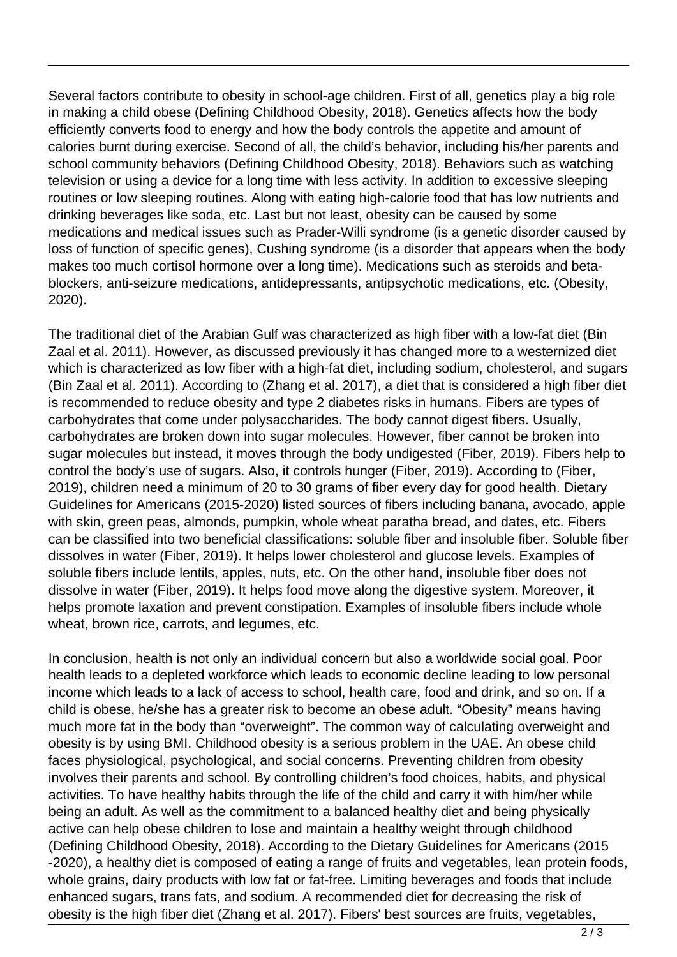Several factors contribute to obesity in school-age children. First of all, genetics play a big role in making a child obese (Defining Childhood Obesity, 2018). Genetics affects how the body efficiently converts food to energy and how the body controls the appetite and amount of calories burnt during exercise. Second of all, the child's behavior, including his/her parents and school community behaviors (Defining Childhood Obesity, 2018). Behaviors such as watching television or using a device for a long time with less activity. In addition to excessive sleeping routines or low sleeping routines. Along with eating high-calorie food that has low nutrients and drinking beverages like soda, etc. Last but not least, obesity can be caused by some medications and medical issues such as Prader-Willi syndrome (is a genetic disorder caused by loss of function of specific genes), Cushing syndrome (is a disorder that appears when the body makes too much cortisol hormone over a long time). Medications such as steroids and betablockers, anti-seizure medications, antidepressants, antipsychotic medications, etc. (Obesity, 2020).

The traditional diet of the Arabian Gulf was characterized as high fiber with a low-fat diet (Bin Zaal et al. 2011). However, as discussed previously it has changed more to a westernized diet which is characterized as low fiber with a high-fat diet, including sodium, cholesterol, and sugars (Bin Zaal et al. 2011). According to (Zhang et al. 2017), a diet that is considered a high fiber diet is recommended to reduce obesity and type 2 diabetes risks in humans. Fibers are types of carbohydrates that come under polysaccharides. The body cannot digest fibers. Usually, carbohydrates are broken down into sugar molecules. However, fiber cannot be broken into sugar molecules but instead, it moves through the body undigested (Fiber, 2019). Fibers help to control the body's use of sugars. Also, it controls hunger (Fiber, 2019). According to (Fiber, 2019), children need a minimum of 20 to 30 grams of fiber every day for good health. Dietary Guidelines for Americans (2015-2020) listed sources of fibers including banana, avocado, apple with skin, green peas, almonds, pumpkin, whole wheat paratha bread, and dates, etc. Fibers can be classified into two beneficial classifications: soluble fiber and insoluble fiber. Soluble fiber dissolves in water (Fiber, 2019). It helps lower cholesterol and glucose levels. Examples of soluble fibers include lentils, apples, nuts, etc. On the other hand, insoluble fiber does not dissolve in water (Fiber, 2019). It helps food move along the digestive system. Moreover, it helps promote laxation and prevent constipation. Examples of insoluble fibers include whole wheat, brown rice, carrots, and legumes, etc.

In conclusion, health is not only an individual concern but also a worldwide social goal. Poor health leads to a depleted workforce which leads to economic decline leading to low personal income which leads to a lack of access to school, health care, food and drink, and so on. If a child is obese, he/she has a greater risk to become an obese adult. "Obesity" means having much more fat in the body than "overweight". The common way of calculating overweight and obesity is by using BMI. Childhood obesity is a serious problem in the UAE. An obese child faces physiological, psychological, and social concerns. Preventing children from obesity involves their parents and school. By controlling children's food choices, habits, and physical activities. To have healthy habits through the life of the child and carry it with him/her while being an adult. As well as the commitment to a balanced healthy diet and being physically active can help obese children to lose and maintain a healthy weight through childhood (Defining Childhood Obesity, 2018). According to the Dietary Guidelines for Americans (2015 -2020), a healthy diet is composed of eating a range of fruits and vegetables, lean protein foods, whole grains, dairy products with low fat or fat-free. Limiting beverages and foods that include enhanced sugars, trans fats, and sodium. A recommended diet for decreasing the risk of obesity is the high fiber diet (Zhang et al. 2017). Fibers' best sources are fruits, vegetables,